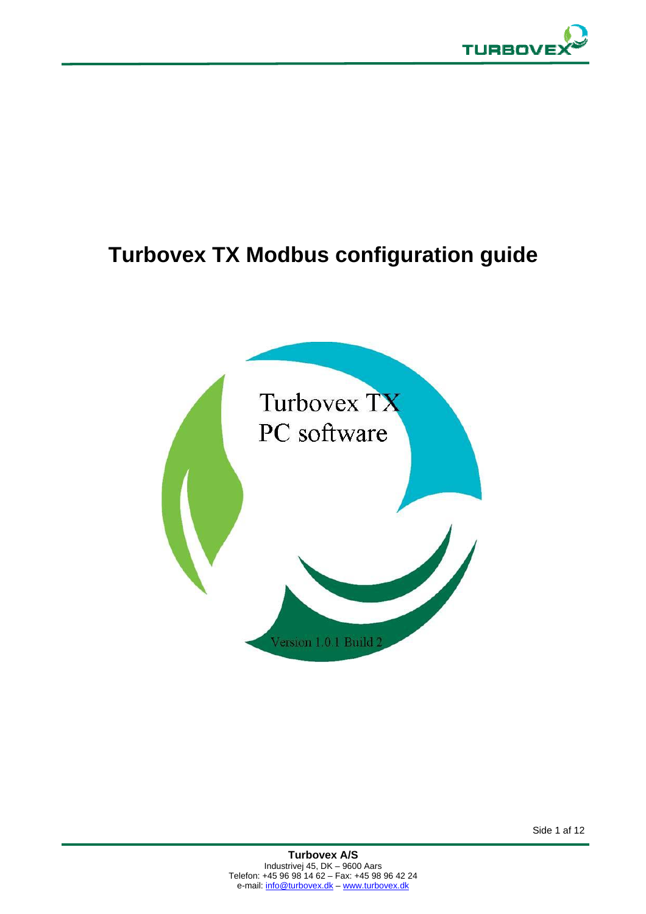

# **Turbovex TX Modbus configuration guide**

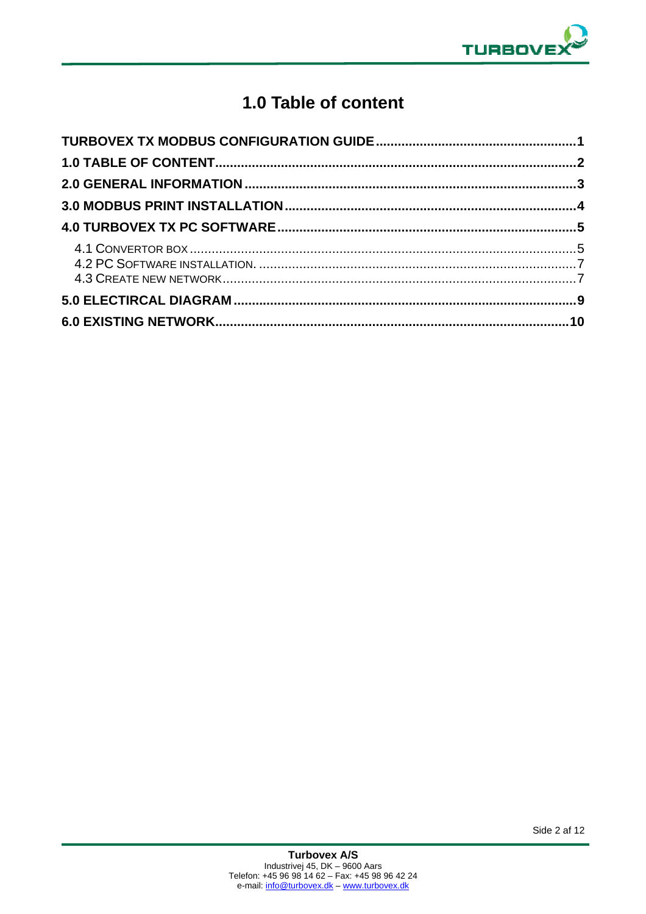

# 1.0 Table of content

Side 2 af 12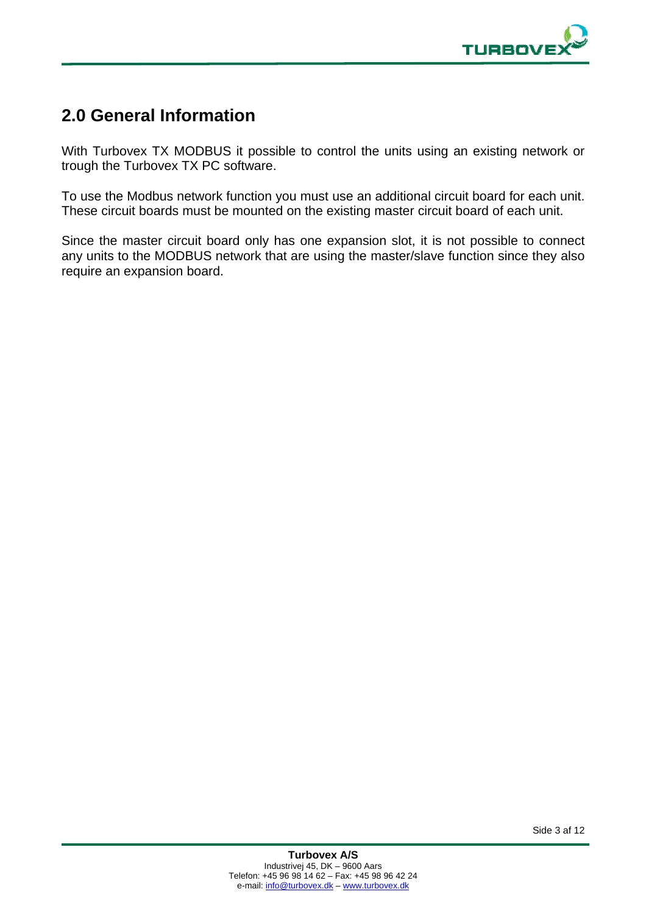

### **2.0 General Information**

With Turbovex TX MODBUS it possible to control the units using an existing network or trough the Turbovex TX PC software.

To use the Modbus network function you must use an additional circuit board for each unit. These circuit boards must be mounted on the existing master circuit board of each unit.

Since the master circuit board only has one expansion slot, it is not possible to connect any units to the MODBUS network that are using the master/slave function since they also require an expansion board.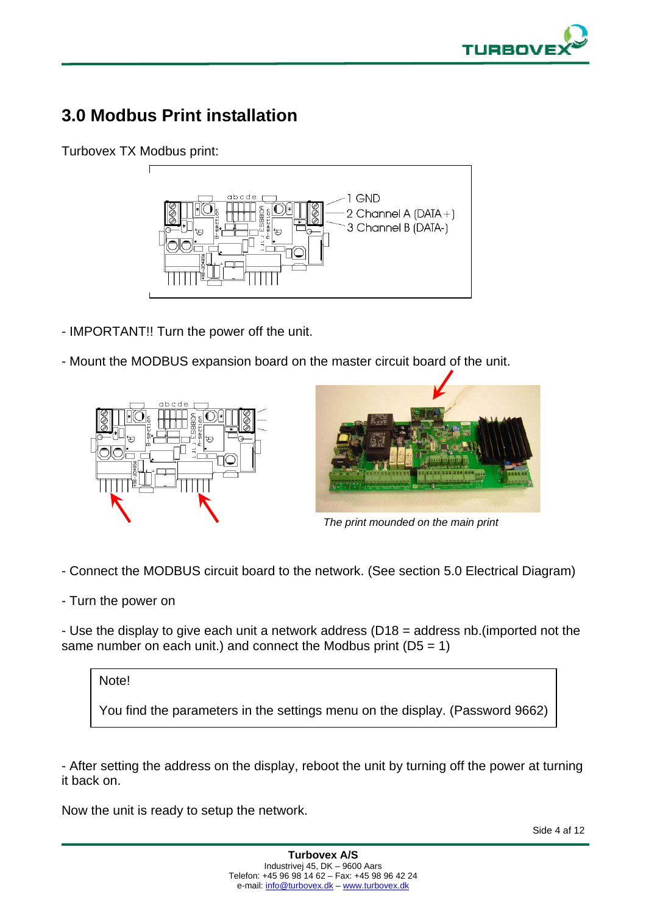

# **3.0 Modbus Print installation**

Turbovex TX Modbus print:



- IMPORTANT!! Turn the power off the unit.
- Mount the MODBUS expansion board on the master circuit board of the unit.





*The print mounded on the main print* 

- Connect the MODBUS circuit board to the network. (See section 5.0 Electrical Diagram)

- Turn the power on

- Use the display to give each unit a network address (D18 = address nb.(imported not the same number on each unit.) and connect the Modbus print  $(D5 = 1)$ 



You find the parameters in the settings menu on the display. (Password 9662)

- After setting the address on the display, reboot the unit by turning off the power at turning it back on.

Now the unit is ready to setup the network.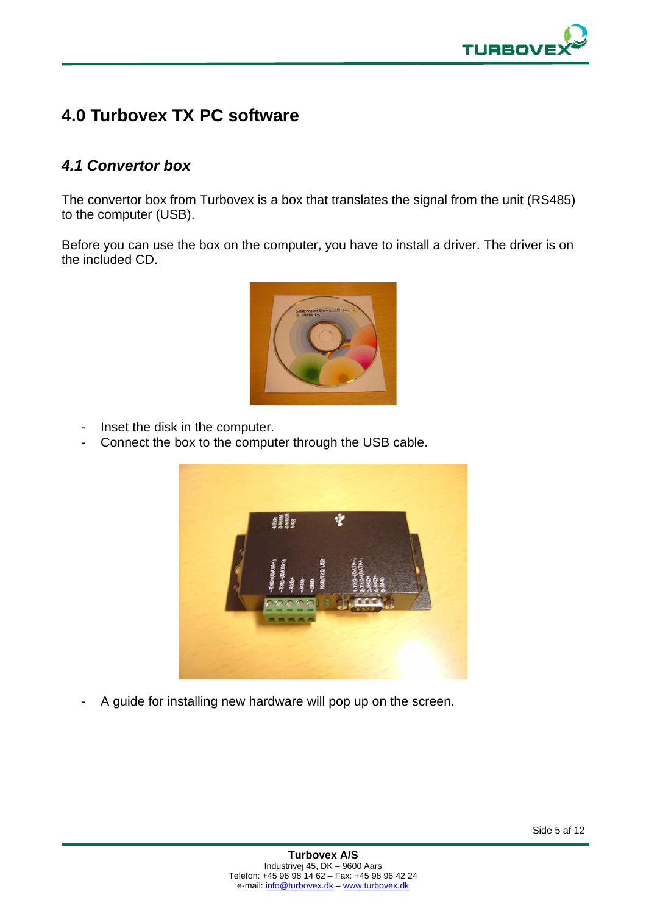

### **4.0 Turbovex TX PC software**

### *4.1 Convertor box*

The convertor box from Turbovex is a box that translates the signal from the unit (RS485) to the computer (USB).

Before you can use the box on the computer, you have to install a driver. The driver is on the included CD.



- Inset the disk in the computer.
- Connect the box to the computer through the USB cable.



- A guide for installing new hardware will pop up on the screen.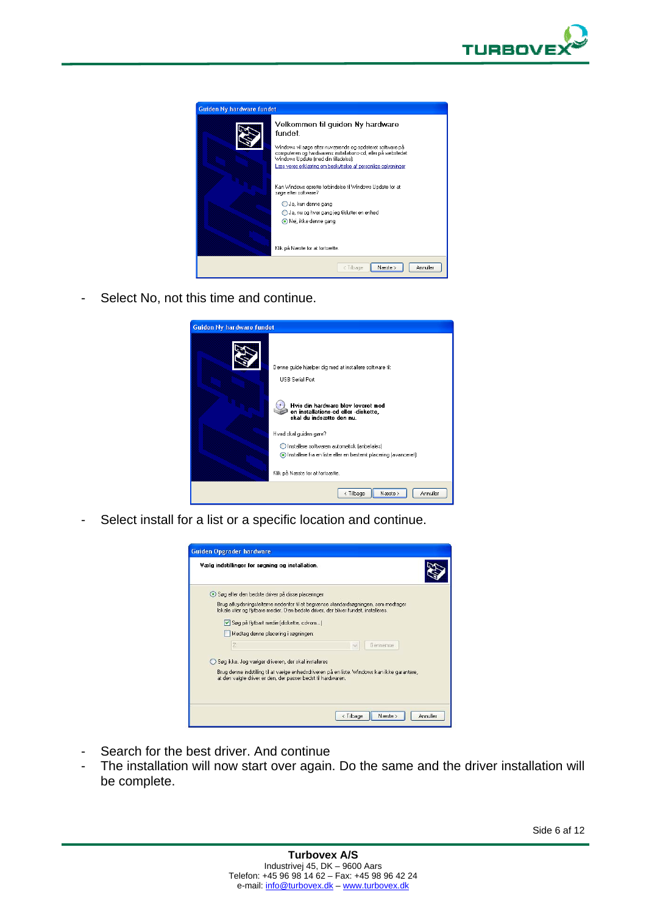

| <b>Guiden Ny hardware fundet</b> |                                                                                                                                                                                                                                                                                                                                                                                                                                                                      |
|----------------------------------|----------------------------------------------------------------------------------------------------------------------------------------------------------------------------------------------------------------------------------------------------------------------------------------------------------------------------------------------------------------------------------------------------------------------------------------------------------------------|
|                                  | Velkommen til quiden Ny hardware<br>fundet<br>Windows vil søge efter nuværende og opdateret software på<br>computeren og hardwarens installations-cd, eller på webstedet<br>Windows Update (med din tilladelse).<br>Læs vores erklæring om beskyttelse af personlige oplysninger<br>Kan Windows oprette forbindelse til Windows Update for at<br>søge efter software?<br>○ Ja, kun denne gang<br>Ja, nu og hver gang jeg tilslutter en enhed<br>Nej, ikke denne gang |
|                                  | Klik på Næste for at fortsætte.                                                                                                                                                                                                                                                                                                                                                                                                                                      |
|                                  | Annuller<br>Næste ><br>< Tilbage                                                                                                                                                                                                                                                                                                                                                                                                                                     |

- Select No, not this time and continue.



- Select install for a list or a specific location and continue.



- Search for the best driver. And continue
- The installation will now start over again. Do the same and the driver installation will be complete.

Side 6 af 12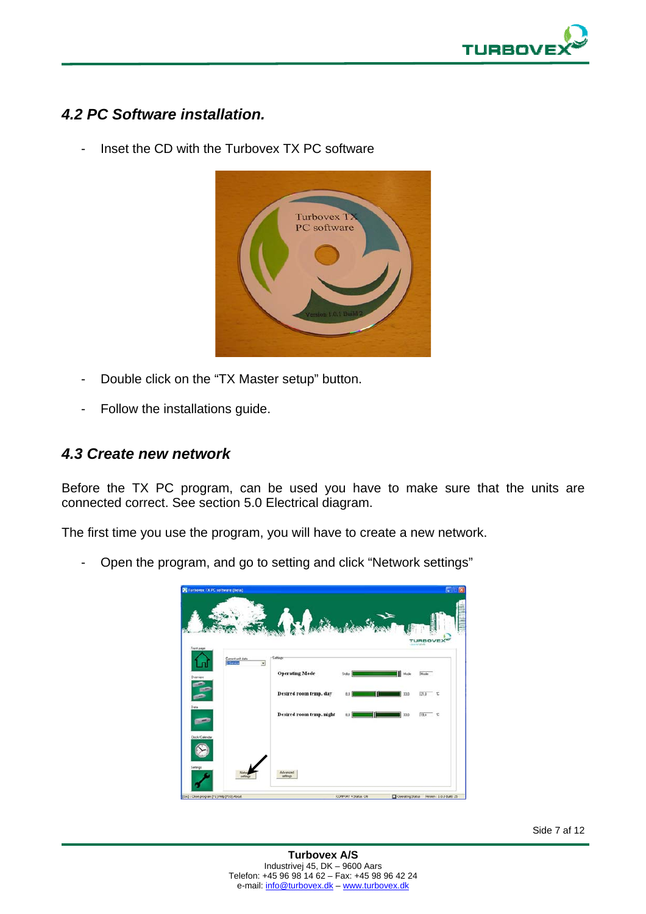

### *4.2 PC Software installation.*

- Inset the CD with the Turbovex TX PC software



- Double click on the "TX Master setup" button.
- Follow the installations guide.

#### *4.3 Create new network*

Before the TX PC program, can be used you have to make sure that the units are connected correct. See section 5.0 Electrical diagram.

The first time you use the program, you will have to create a new network.

- Open the program, and go to setting and click "Network settings"

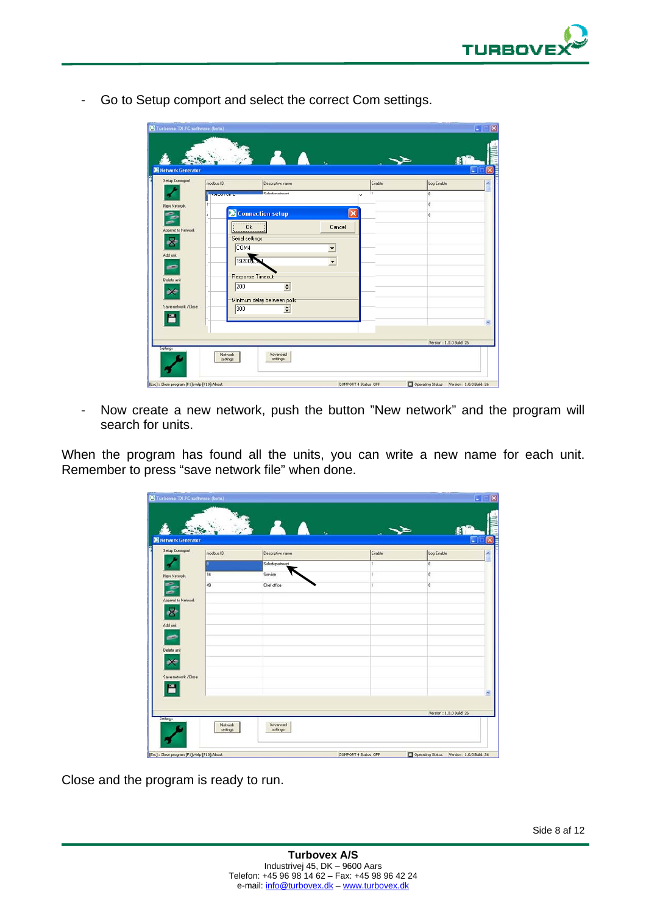

- Go to Setup comport and select the correct Com settings.

| Network Generator<br>Setup Commport | modbus ID                      | Descriptive name             | Enable                                   | н<br>Log Enable           |
|-------------------------------------|--------------------------------|------------------------------|------------------------------------------|---------------------------|
|                                     | <b>Concert Concert Concert</b> | Saledenariment               | $\mathbf{1}$<br>$\overline{\phantom{a}}$ | o                         |
| New Network                         |                                |                              |                                          | Ō                         |
| -                                   |                                | Connection setup             | $\times$                                 | $\bf{0}$                  |
| -                                   |                                | $\overline{\phantom{a}}$ Ok  | Cancel                                   |                           |
| Append to Network                   | Serial settings                |                              |                                          |                           |
| og.                                 | COM4                           |                              | $\overline{\phantom{0}}$                 |                           |
| Add unit                            | 192003                         |                              |                                          |                           |
| e                                   |                                |                              | $\blacktriangledown$                     |                           |
| Delete unit                         |                                | Response Timeout             |                                          |                           |
| ex"                                 | 200                            | $\div$                       |                                          |                           |
|                                     |                                | Minimum delay between polls: |                                          |                           |
| Save network /Close                 | 300                            | $\div$                       |                                          |                           |
|                                     |                                |                              |                                          |                           |
|                                     |                                |                              |                                          |                           |
|                                     |                                |                              |                                          | Version : 1.0.0 Build: 26 |

- Now create a new network, push the button "New network" and the program will search for units.

When the program has found all the units, you can write a new name for each unit. Remember to press "save network file" when done.

|                     | modbus ID | Descriptive name | Enable | Log Enable    |
|---------------------|-----------|------------------|--------|---------------|
|                     |           | Saledepartment   | 1      | $\Omega$      |
| New Network         | 14        | Service          | 1      | $\mathfrak o$ |
| c<br>-              | 49        | Chef office      | 1      | $\bf{0}$      |
| Append to Network   |           |                  |        |               |
| est.                |           |                  |        |               |
| Add unit<br>e       |           |                  |        |               |
| Delete unit         |           |                  |        |               |
| ar t                |           |                  |        |               |
| Save network /Close |           |                  |        |               |
|                     |           |                  |        |               |

Close and the program is ready to run.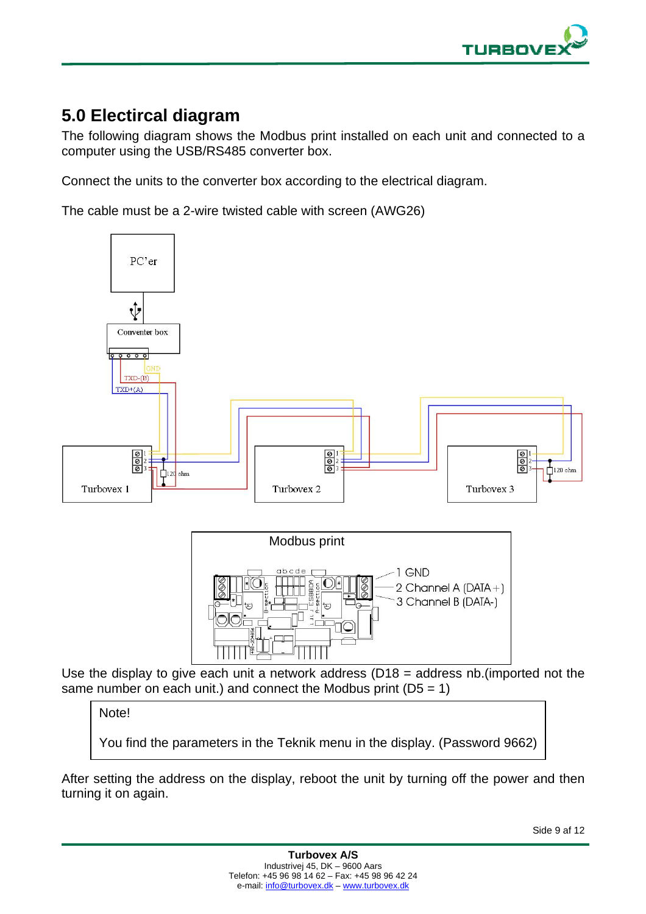

### **5.0 Electircal diagram**

The following diagram shows the Modbus print installed on each unit and connected to a computer using the USB/RS485 converter box.

Connect the units to the converter box according to the electrical diagram.

The cable must be a 2-wire twisted cable with screen (AWG26)



same number on each unit.) and connect the Modbus print  $(D5 = 1)$ 

### Note!

You find the parameters in the Teknik menu in the display. (Password 9662)

After setting the address on the display, reboot the unit by turning off the power and then turning it on again.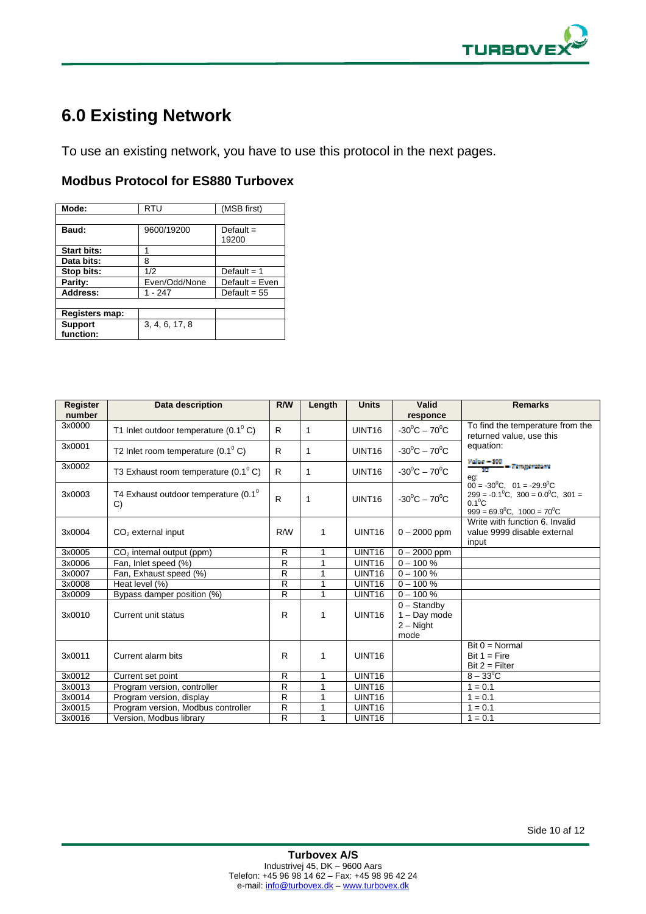

## **6.0 Existing Network**

To use an existing network, you have to use this protocol in the next pages.

#### **Modbus Protocol for ES880 Turbovex**

| Mode:                       | <b>RTU</b>     | (MSB first)          |
|-----------------------------|----------------|----------------------|
|                             |                |                      |
| Baud:                       | 9600/19200     | Default $=$<br>19200 |
| <b>Start bits:</b>          | 1              |                      |
| Data bits:                  | 8              |                      |
| Stop bits:                  | 1/2            | Default = $1$        |
| Parity:                     | Even/Odd/None  | Default = $Even$     |
| Address:                    | 1 - 247        | Default = $55$       |
|                             |                |                      |
| <b>Registers map:</b>       |                |                      |
| <b>Support</b><br>function: | 3, 4, 6, 17, 8 |                      |

| Register<br>number | Data description                                       | R/W          | Length       | <b>Units</b>       | Valid<br>responce                                      | <b>Remarks</b>                                                                                                                                                             |
|--------------------|--------------------------------------------------------|--------------|--------------|--------------------|--------------------------------------------------------|----------------------------------------------------------------------------------------------------------------------------------------------------------------------------|
| 3x0000             | T1 Inlet outdoor temperature $(0.1^{\circ} \text{ C})$ | R            | 1            | UINT <sub>16</sub> | $-30^{\circ}$ C $-70^{\circ}$ C                        | To find the temperature from the<br>returned value, use this                                                                                                               |
| 3x0001             | T2 Inlet room temperature $(0.1^{\circ} \text{ C})$    | R.           | 1            | UINT16             | $-30^0C - 70^0C$                                       | equation:                                                                                                                                                                  |
| 3x0002             | T3 Exhaust room temperature $(0.1^{\circ} \text{ C})$  | R            | 1            | UINT <sub>16</sub> | $-30^{\circ}$ C $-70^{\circ}$ C                        | Value - 200<br>Temperature<br>eg:                                                                                                                                          |
| 3x0003             | T4 Exhaust outdoor temperature $(0.1^0)$<br>C)         | R            | $\mathbf{1}$ | UINT <sub>16</sub> | $-30^{\circ}$ C $-70^{\circ}$ C                        | $00 = -30^{\circ}$ C, $01 = -29.9^{\circ}$ C<br>$299 = -0.1^{\circ}C$ , $300 = 0.0^{\circ}C$ , $301 =$<br>$0.1^{\circ}$ C<br>$999 = 69.9^{\circ}$ C, $1000 = 70^{\circ}$ C |
| 3x0004             | $CO2$ external input                                   | R/W          | 1            | UINT <sub>16</sub> | $0 - 2000$ ppm                                         | Write with function 6. Invalid<br>value 9999 disable external<br>input                                                                                                     |
| 3x0005             | $CO2$ internal output (ppm)                            | R            | 1            | UINT16             | $0 - 2000$ ppm                                         |                                                                                                                                                                            |
| 3x0006             | Fan, Inlet speed (%)                                   | $\mathsf{R}$ | 1            | UINT <sub>16</sub> | $0 - 100 %$                                            |                                                                                                                                                                            |
| 3x0007             | Fan, Exhaust speed (%)                                 | R            | 1            | UINT <sub>16</sub> | $0 - 100 \%$                                           |                                                                                                                                                                            |
| 3x0008             | Heat level (%)                                         | R            | 1            | UINT <sub>16</sub> | $0 - 100 \%$                                           |                                                                                                                                                                            |
| 3x0009             | Bypass damper position (%)                             | R            | 1            | UINT <sub>16</sub> | $0 - 100 %$                                            |                                                                                                                                                                            |
| 3x0010             | Current unit status                                    | R            | 1            | UINT <sub>16</sub> | $0 -$ Standby<br>$1 - Day mode$<br>$2 -$ Night<br>mode |                                                                                                                                                                            |
| 3x0011             | Current alarm bits                                     | R            | 1            | UINT <sub>16</sub> |                                                        | $Bit 0 = Normal$<br>Bit $1 =$ Fire<br>$Bit 2 = Filter$                                                                                                                     |
| 3x0012             | Current set point                                      | R            | 1            | UINT <sub>16</sub> |                                                        | $8 - 33^{\circ}$ C                                                                                                                                                         |
| 3x0013             | Program version, controller                            | R            | 1            | <b>UINT16</b>      |                                                        | $1 = 0.1$                                                                                                                                                                  |
| 3x0014             | Program version, display                               | $\mathsf{R}$ | 1            | UINT <sub>16</sub> |                                                        | $1 = 0.1$                                                                                                                                                                  |
| 3x0015             | Program version, Modbus controller                     | R            | 1            | UINT <sub>16</sub> |                                                        | $1 = 0.1$                                                                                                                                                                  |
| 3x0016             | Version, Modbus library                                | R            | 1            | UINT <sub>16</sub> |                                                        | $1 = 0.1$                                                                                                                                                                  |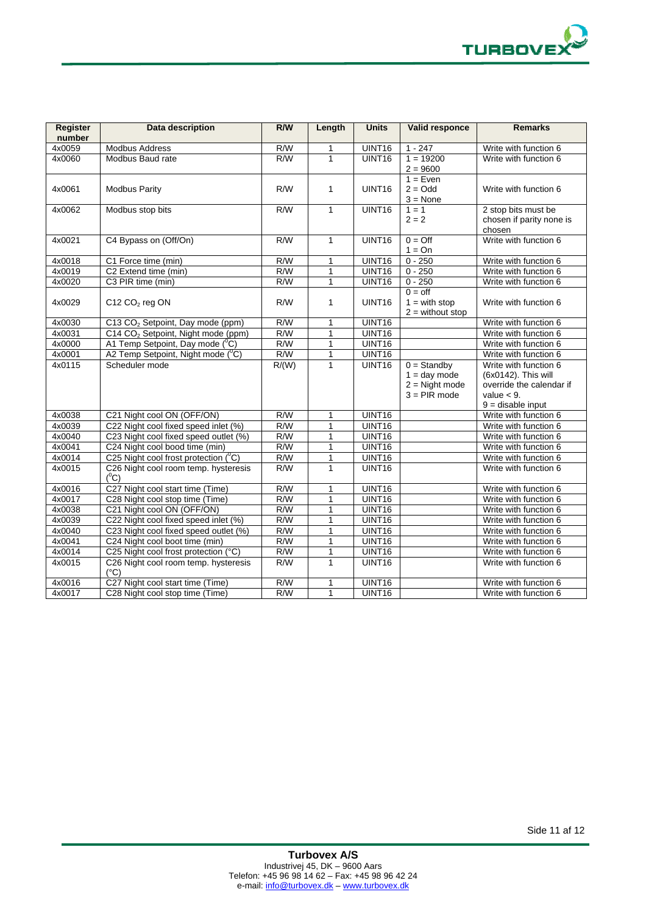

| <b>Register</b><br>number | Data description                                      | R/W              | Length       | <b>Units</b>       | Valid responce                                                        | <b>Remarks</b>                                                                                                  |
|---------------------------|-------------------------------------------------------|------------------|--------------|--------------------|-----------------------------------------------------------------------|-----------------------------------------------------------------------------------------------------------------|
| 4x0059                    | <b>Modbus Address</b>                                 | R/W              | 1            | UINT16             | $1 - 247$                                                             | Write with function 6                                                                                           |
| 4x0060                    | Modbus Baud rate                                      | R/W              | $\mathbf{1}$ | UINT16             | $1 = 19200$<br>$2 = 9600$                                             | Write with function 6                                                                                           |
| 4x0061                    | <b>Modbus Parity</b>                                  | R/W              | 1            | UINT <sub>16</sub> | $1 = Even$<br>$2 = Odd$<br>$3 = None$                                 | Write with function 6                                                                                           |
| 4x0062                    | Modbus stop bits                                      | $\overline{R/W}$ | $\mathbf{1}$ | UINT16             | $1 = 1$<br>$2 = 2$                                                    | 2 stop bits must be<br>chosen if parity none is<br>chosen                                                       |
| 4x0021                    | C4 Bypass on (Off/On)                                 | $\overline{R/W}$ | $\mathbf{1}$ | UINT16             | $0 = \text{Off}$<br>$1 = On$                                          | Write with function 6                                                                                           |
| 4x0018                    | C1 Force time (min)                                   | R/W              | $\mathbf{1}$ | UINT16             | $0 - 250$                                                             | Write with function 6                                                                                           |
| 4x0019                    | C2 Extend time (min)                                  | R/W              | 1            | UINT16             | $0 - 250$                                                             | Write with function 6                                                                                           |
| 4x0020                    | C3 PIR time (min)                                     | R/W              | 1            | UINT16             | $0 - 250$                                                             | Write with function 6                                                                                           |
| 4x0029                    | C12 CO <sub>2</sub> reg ON                            | R/W              | 1            | UINT <sub>16</sub> | $0 =$ off<br>$1 = with stop$<br>$2 =$ without stop                    | Write with function 6                                                                                           |
| 4x0030                    | C13 CO <sub>2</sub> Setpoint, Day mode (ppm)          | R/W              | $\mathbf{1}$ | UINT16             |                                                                       | Write with function 6                                                                                           |
| 4x0031                    | C14 CO <sub>2</sub> Setpoint, Night mode (ppm)        | R/W              | 1            | UINT16             |                                                                       | Write with function 6                                                                                           |
| 4x0000                    | A1 Temp Setpoint, Day mode (°C)                       | R/W              | 1            | UINT16             |                                                                       | Write with function 6                                                                                           |
| 4x0001                    | A2 Temp Setpoint, Night mode (°C)                     | R/W              | 1            | UINT16             |                                                                       | Write with function 6                                                                                           |
| 4x0115                    | Scheduler mode                                        | R/(W)            | $\mathbf{1}$ | UINT16             | $0 =$ Standby<br>$1 = day mode$<br>$2 =$ Night mode<br>$3 = PIR$ mode | Write with function 6<br>(6x0142). This will<br>override the calendar if<br>value $<$ 9.<br>$9$ = disable input |
| 4x0038                    | C21 Night cool ON (OFF/ON)                            | R/W              | 1            | UINT16             |                                                                       | Write with function 6                                                                                           |
| 4x0039                    | C22 Night cool fixed speed inlet (%)                  | R/W              | 1            | UINT16             |                                                                       | Write with function 6                                                                                           |
| 4x0040                    | C23 Night cool fixed speed outlet (%)                 | R/W              | 1            | UINT16             |                                                                       | Write with function 6                                                                                           |
| 4x0041                    | C24 Night cool bood time (min)                        | R/W              | $\mathbf{1}$ | UINT16             |                                                                       | Write with function 6                                                                                           |
| 4x0014                    | C <sub>25</sub> Night cool frost protection $(^0C)$   | R/W              | 1            | UINT16             |                                                                       | Write with function 6                                                                                           |
| 4x0015                    | C26 Night cool room temp. hysteresis<br>$(^0C)$       | R/W              | $\mathbf{1}$ | UINT <sub>16</sub> |                                                                       | Write with function 6                                                                                           |
| 4x0016                    | C27 Night cool start time (Time)                      | R/W              | 1            | UINT16             |                                                                       | Write with function 6                                                                                           |
| 4x0017                    | C28 Night cool stop time (Time)                       | R/W              | 1            | UINT16             |                                                                       | Write with function 6                                                                                           |
| 4x0038                    | C21 Night cool ON (OFF/ON)                            | R/W              | $\mathbf{1}$ | UINT16             |                                                                       | Write with function 6                                                                                           |
| 4x0039                    | C22 Night cool fixed speed inlet (%)                  | R/W              | $\mathbf{1}$ | UINT16             |                                                                       | Write with function 6                                                                                           |
| 4x0040                    | C23 Night cool fixed speed outlet (%)                 | R/W              | 1            | UINT16             |                                                                       | Write with function 6                                                                                           |
| 4x0041                    | C24 Night cool boot time (min)                        | R/W              | 1            | UINT16             |                                                                       | Write with function 6                                                                                           |
| 4x0014                    | C25 Night cool frost protection (°C)                  | R/W              | 1            | UINT16             |                                                                       | Write with function 6                                                                                           |
| 4x0015                    | C26 Night cool room temp. hysteresis<br>$(^{\circ}C)$ | R/W              | $\mathbf{1}$ | UINT16             |                                                                       | Write with function 6                                                                                           |
| 4x0016                    | C27 Night cool start time (Time)                      | R/W              | 1            | UINT16             |                                                                       | Write with function 6                                                                                           |
| 4x0017                    | C28 Night cool stop time (Time)                       | R/W              | $\mathbf{1}$ | UINT16             |                                                                       | Write with function 6                                                                                           |